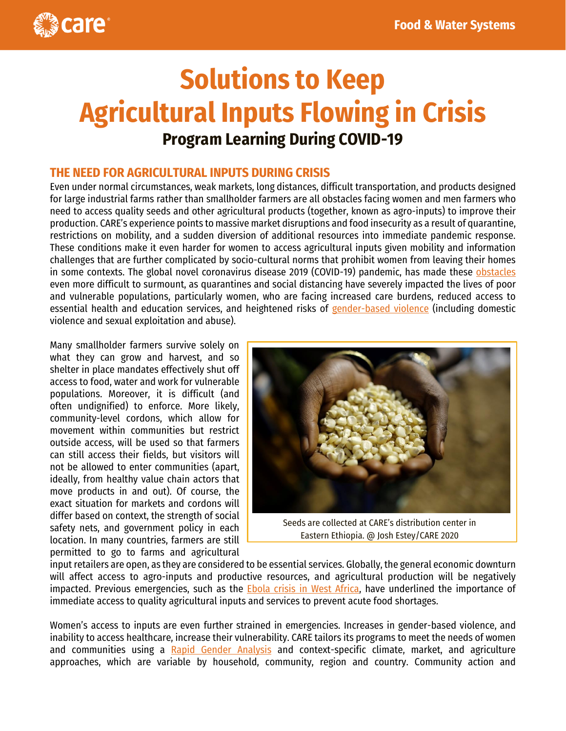

# **Solutions to Keep Agricultural Inputs Flowing in Crisis Program Learning During COVID-19**

### **THE NEED FOR AGRICULTURAL INPUTS DURING CRISIS**

Even under normal circumstances, weak markets, long distances, difficult transportation, and products designed for large industrial farms rather than smallholder farmers are all obstacles facing women and men farmers who need to access quality seeds and other agricultural products (together, known as agro-inputs) to improve their production. CARE's experience points to massive market disruptions and food insecurity as a result of quarantine, restrictions on mobility, and a sudden diversion of additional resources into immediate pandemic response. These conditions make it even harder for women to access agricultural inputs given mobility and information challenges that are further complicated by socio-cultural norms that prohibit women from leaving their homes in some contexts. The global novel coronavirus disease 2019 (COVID-19) pandemic, has made these [obstacles](https://www.care.org/sites/default/files/documents/gender_youth_livelihoods_in_food_water_systems_-_covid-19_guidance_care_2020.04.20.pdf) even more difficult to surmount, as quarantines and social distancing have severely impacted the lives of poor and vulnerable populations, particularly women, who are facing increased care burdens, reduced access to essential health and education services, and heightened risks of [gender-based violence](https://gbvguidelines.org/cctopic/covid-19/) (including domestic violence and sexual exploitation and abuse).

Many smallholder farmers survive solely on what they can grow and harvest, and so shelter in place mandates effectively shut off access to food, water and work for vulnerable populations. Moreover, it is difficult (and often undignified) to enforce. More likely, community-level cordons, which allow for movement within communities but restrict outside access, will be used so that farmers can still access their fields, but visitors will not be allowed to enter communities (apart, ideally, from healthy value chain actors that move products in and out). Of course, the exact situation for markets and cordons will differ based on context, the strength of social safety nets, and government policy in each location. In many countries, farmers are still permitted to go to farms and agricultural



Seeds are collected at CARE's distribution center in Eastern Ethiopia. @ Josh Estey/CARE 2020

input retailers are open, as they are considered to be essential services. Globally, the general economic downturn will affect access to agro-inputs and productive resources, and agricultural production will be negatively impacted. Previous emergencies, such as the **Ebola crisis in West Africa**, have underlined the importance of immediate access to quality agricultural inputs and services to prevent acute food shortages.

Women's access to inputs are even further strained in emergencies. Increases in gender-based violence, and inability to access healthcare, increase their vulnerability. CARE tailors its programs to meet the needs of women and communities using a [Rapid Gender Analysis](https://insights.careinternational.org.uk/in-practice/rapid-gender-analysis) and context-specific climate, market, and agriculture approaches, which are variable by household, community, region and country. Community action and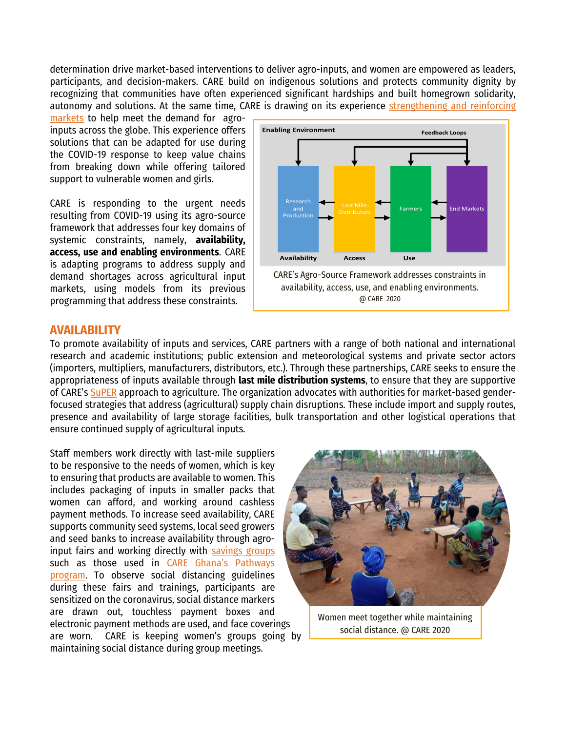determination drive market-based interventions to deliver agro-inputs, and women are empowered as leaders, participants, and decision-makers. CARE build on indigenous solutions and protects community dignity by recognizing that communities have often experienced significant hardships and built homegrown solidarity, autonomy and solutions. At the same time, CARE is drawing on its experience strengthening and reinforcing

[markets](https://www.care.org/sites/default/files/documents/gender_youth_livelihoods_in_food_water_systems_-_covid-19_guidance_care_2020.04.20.pdf) to help meet the demand for agroinputs across the globe. This experience offers solutions that can be adapted for use during the COVID-19 response to keep value chains from breaking down while offering tailored support to vulnerable women and girls.

CARE is responding to the urgent needs resulting from COVID-19 using its agro-source framework that addresses four key domains of systemic constraints, namely, **availability, access, use and enabling environments**. CARE is adapting programs to address supply and demand shortages across agricultural input markets, using models from its previous programming that address these constraints.



#### **AVAILABILITY**

To promote availability of inputs and services, CARE partners with a range of both national and international research and academic institutions; public extension and meteorological systems and private sector actors (importers, multipliers, manufacturers, distributors, etc.). Through these partnerships, CARE seeks to ensure the appropriateness of inputs available through **last mile distribution systems**, to ensure that they are supportive of CARE's [SuPER](https://www.care.org/sites/default/files/documents/beyond_productivity.pdf) approach to agriculture. The organization advocates with authorities for market-based genderfocused strategies that address (agricultural) supply chain disruptions. These include import and supply routes, presence and availability of large storage facilities, bulk transportation and other logistical operations that ensure continued supply of agricultural inputs.

Staff members work directly with last-mile suppliers to be responsive to the needs of women, which is key to ensuring that products are available to women. This includes packaging of inputs in smaller packs that women can afford, and working around cashless payment methods. To increase seed availability, CARE supports community seed systems, local seed growers and seed banks to increase availability through agroinput fairs and working directly with [savings groups](https://www.care.org/sites/default/files/documents/care_covid-19_savings_group_guidance.pdf) such as those used in CARE Ghana's Pathways [program.](http://careevaluations.org/wp-content/uploads/evaluations/care-ghana-pathways-project-final-evaluation.pdf) To observe social distancing guidelines during these fairs and trainings, participants are sensitized on the coronavirus, social distance markers are drawn out, touchless payment boxes and electronic payment methods are used, and face coverings are worn. CARE is keeping women's groups going by maintaining social distance during group meetings.



Women meet together while maintaining social distance. @ CARE 2020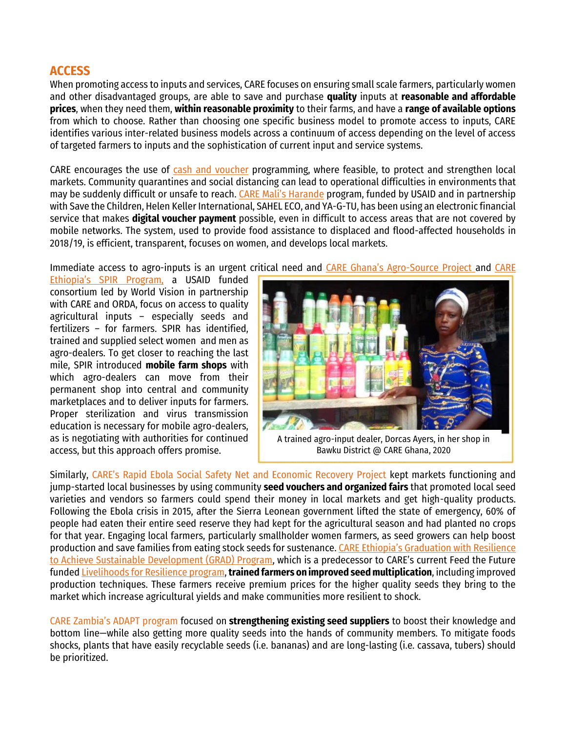## **ACCESS**

When promoting access to inputs and services, CARE focuses on ensuring small scale farmers, particularly women and other disadvantaged groups, are able to save and purchase **quality** inputs at **reasonable and affordable prices**, when they need them, **within reasonable proximity** to their farms, and have a **range of available options** from which to choose. Rather than choosing one specific business model to promote access to inputs, CARE identifies various inter-related business models across a continuum of access depending on the level of access of targeted farmers to inputs and the sophistication of current input and service systems.

CARE encourages the use of [cash and voucher](https://www.care.org/sites/default/files/documents/cva_covid19_2020323.pdf) programming, where feasible, to protect and strengthen local markets. Community quarantines and social distancing can lead to operational difficulties in environments that may be suddenly difficult or unsafe to reach. [CARE Mali's Harande](https://www.care.org/work/world-hunger/agriculture/models/super-foods/harande) program, funded by USAID and in partnership with Save the Children, Helen Keller International, SAHEL ECO, and YA-G-TU, has been using an electronic financial service that makes **digital voucher payment** possible, even in difficult to access areas that are not covered by mobile networks. The system, used to provide food assistance to displaced and flood-affected households in 2018/19, is efficient, transparent, focuses on women, and develops local markets.

Immediate access to agro-inputs is an urgent critical need and [CARE Ghana's Agro](https://www.care.org/sites/default/files/documents/agro-source_brief_2020_care_ghana.pdf)-Source Project and [CARE](https://www.care.org/work/world-hunger/sustainable-economies/projects/spir-strengthen-psnp4-institutions-and-resilience) 

[Ethiopia's SPIR Program](https://www.care.org/work/world-hunger/sustainable-economies/projects/spir-strengthen-psnp4-institutions-and-resilience), a USAID funded consortium led by World Vision in partnership with CARE and ORDA, focus on access to quality agricultural inputs – especially seeds and fertilizers – for farmers. SPIR has identified, trained and supplied select women and men as agro-dealers. To get closer to reaching the last mile, SPIR introduced **mobile farm shops** with which agro-dealers can move from their permanent shop into central and community marketplaces and to deliver inputs for farmers. Proper sterilization and virus transmission education is necessary for mobile agro-dealers, as is negotiating with authorities for continued access, but this approach offers promise.



A trained agro-input dealer, Dorcas Ayers, in her shop in Bawku District @ CARE Ghana, 2020

Similarly, CARE's Rapid Ebola Social Safety Net and Economic Recovery Project kept markets functioning and jump-started local businesses by using community **seed vouchers and organized fairs** that promoted local seed varieties and vendors so farmers could spend their money in local markets and get high-quality products. Following the Ebola crisis in 2015, after the Sierra Leonean government lifted the state of emergency, 60% of people had eaten their entire seed reserve they had kept for the agricultural season and had planted no crops for that year. Engaging local farmers, particularly smallholder women farmers, as seed growers can help boost production and save families from eating stock seeds for sustenance. [CARE Ethiopia's Graduation with Resilience](https://www.careevaluations.org/wp-content/uploads/GRAD-Final-Evaluation-Report_for-Submission-01-05.pdf)  [to Achieve Sustainable Development \(GRAD\) Program](https://www.careevaluations.org/wp-content/uploads/GRAD-Final-Evaluation-Report_for-Submission-01-05.pdf), which is a predecessor to CARE's current Feed the Future funde[d Livelihoods for Resilience program,](https://www.care.org/work/world-hunger/graduating-families-out-poverty/livelihoods-for-resilience) **trained farmers on improved seed multiplication**, including improved production techniques. These farmers receive premium prices for the higher quality seeds they bring to the market which increase agricultural yields and make communities more resilient to shock.

CARE Zambia's ADAPT program focused on **strengthening existing seed suppliers** to boost their knowledge and bottom line—while also getting more quality seeds into the hands of community members. To mitigate foods shocks, plants that have easily recyclable seeds (i.e. bananas) and are long-lasting (i.e. cassava, tubers) should be prioritized.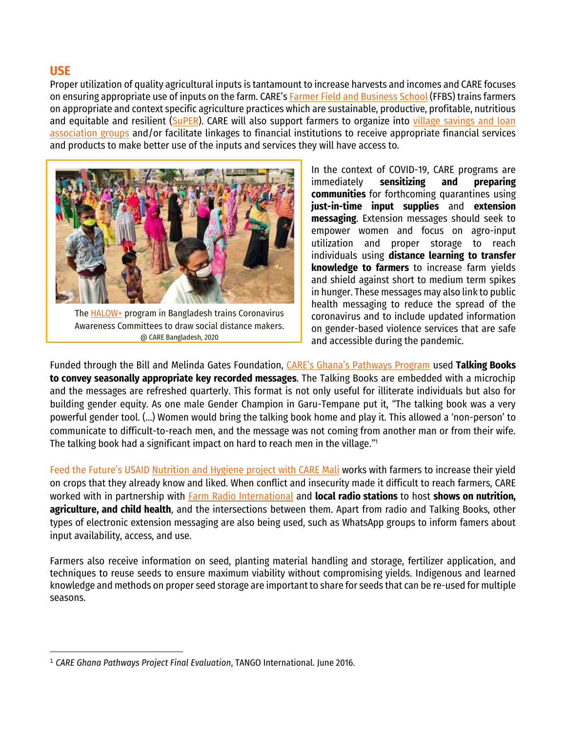**USE**

Proper utilization of quality agricultural inputs is tantamount to increase harvests and incomes and CARE focuses on ensuring appropriate use of inputs on the farm. CARE's [Farmer Field and Business School](https://www.care.org/work/world-hunger/agriculture/models/farmers-field-and-business-school-toolkit) (FFBS) trains farmers on appropriate and context specific agriculture practices which are sustainable, productive, profitable, nutritious and equitable and resilient [\(SuPER\)](https://www.care.org/sites/default/files/documents/beyond_productivity.pdf). CARE will also support farmers to organize into village savings and loan [association groups](https://www.care.org/sites/default/files/documents/care_covid-19_savings_group_guidance.pdf) and/or facilitate linkages to financial institutions to receive appropriate financial services and products to make better use of the inputs and services they will have access to.



The [HALOW+](http://halowplus.com/) program in Bangladesh trains Coronavirus Awareness Committees to draw social distance makers. @ CARE Bangladesh, 2020

In the context of COVID-19, CARE programs are immediately **sensitizing and preparing communities** for forthcoming quarantines using **just-in-time input supplies** and **extension messaging**. Extension messages should seek to empower women and focus on agro-input utilization and proper storage to reach individuals using **distance learning to transfer knowledge to farmers** to increase farm yields and shield against short to medium term spikes in hunger. These messages may also link to public health messaging to reduce the spread of the coronavirus and to include updated information on gender-based violence services that are safe and accessible during the pandemic.

Funded through the Bill and Melinda Gates Foundation, [CARE's Ghana's Pathways Program](http://careevaluations.org/wp-content/uploads/evaluations/care-ghana-pathways-project-final-evaluation.pdf) used **Talking Books to convey seasonally appropriate key recorded messages**. The Talking Books are embedded with a microchip and the messages are refreshed quarterly. This format is not only useful for illiterate individuals but also for building gender equity. As one male Gender Champion in Garu-Tempane put it, "The talking book was a very powerful gender tool. (…) Women would bring the talking book home and play it. This allowed a 'non-person' to communicate to difficult-to-reach men, and the message was not coming from another man or from their wife. The talking book had a significant impact on hard to reach men in the village."<sup>1</sup>

Feed the Future's USAID [Nutrition and Hygiene project with CARE Mali](http://careevaluations.org/evaluation/evaluation-finale-dans-les-zones-de-feed-the-future-du-projet-usaid-nutrition-et-hygiene-care-dans-la-region-de-mopti-mali-2/) works with farmers to increase their yield on crops that they already know and liked. When conflict and insecurity made it difficult to reach farmers, CARE worked with in partnership with [Farm Radio International](https://farmradio.org/) and **local radio stations** to host **shows on nutrition, agriculture, and child health**, and the intersections between them. Apart from radio and Talking Books, other types of electronic extension messaging are also being used, such as WhatsApp groups to inform famers about input availability, access, and use.

Farmers also receive information on seed, planting material handling and storage, fertilizer application, and techniques to reuse seeds to ensure maximum viability without compromising yields. Indigenous and learned knowledge and methods on proper seed storage are important to share for seeds that can be re-used for multiple seasons.

<sup>1</sup> *CARE Ghana Pathways Project Final Evaluation*, TANGO International. June 2016.